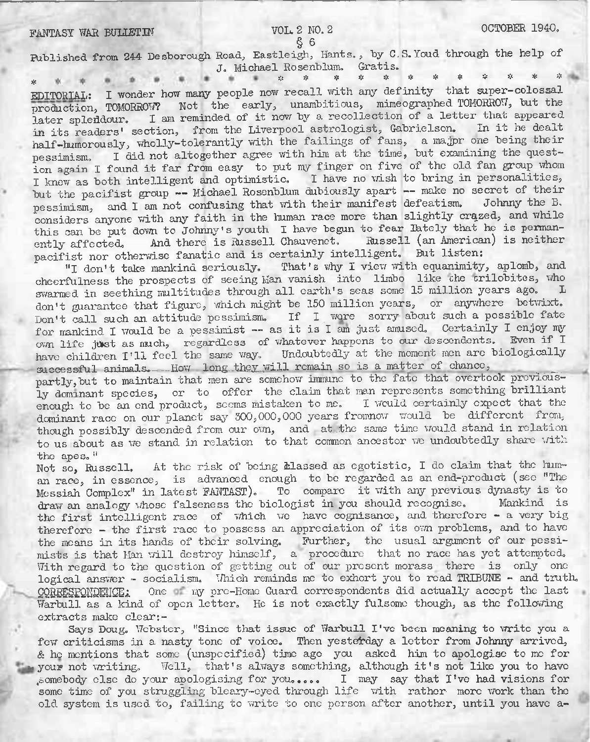## § 6

Published from 244 Desborough Road, Eastleigh, Hants., by C.S.Youd through the help of J. Michael Rosenblum. Gratis.

# # \* \* \* \* \* \* \* \* \* \* \* EDITORIAL: I wonder how many people now recall with any definity that super-colossal EDITORTAL: I wonder how many people now recall with any definity that super-colossal<br>production, TOMORROW? Not the early, unambitious, mimeographed TOMORROW, but the later spleddour. I am reminded of it now by a recollection of a letter that appeared in its readers' section, from the Liverpool astrologist, Gabrielsen. In it he dealt half-humorously, wholly-tolerantly with the failings of fans, a majpr one being their pessimism. I did not altogether agree with him at the time, but examining the question again I found it far from easy to put my finger on five of the old fan group whom I knew as both intelligent and optimistic. I have no wish to bring in personalities, but the pacifist group -- Michael Rosenblum dubiously apart -- make no secret of their pessimism, and I am not confusing that with their manifest defeatism. considers anyone with any faith in the human race more than slightly crazed, and while this can be put down to Johnny's youth I have begun to fear lately that he is permanently affected. And there is Russell Chauvenet. Russell (an American) is neither pacifist nor otherwise fanatic and is certainly intelligent. But listen:

"I don't take mankind seriously. That's why I view with equanimity, aplomb, and cheerfulness the prospects of seeing Man vanish into limbo like the trilobites, who swarmed in seething multitudes through all earth's seas some 15 million years ago. don't guarantee that figure, which might be 150 million years, or anywhere betwixt. Don't call such an attitude pessimism. If I wore sorry about such a possible fate for mankind I would be a pessimist -- as it is I am just amused. Certainly I enjoy my own life just as much, regardless of whatever happens to our descendents. Even if I have children I'll feel the same way. Undoubtedly at the moment men are biologically successful animals. How long-they will remain so is a matter of chance,

partly,but to maintain that men are somehow immune to the fate that overtook previously dominant species, or to offer the claim that man represents something brilliant enough to be an end product, seems mistaken to me. I would certainly expect that the dominant race on our planet say 300,000,000 years fromnow would be different from, though possibly descended from our own, and at the same time would stand in relation to us about as we stand in relation to that common ancestor we undoubtedly share with the apes. "

Not so, Russell. At the risk of being classed as egotistic, I do claim that the human race, in essence, is advanced enough to be regarded as an end-product (see "The Messiah Complex" in latest FANTAST). To compare it with any previous dynasty is to draw an analogy whose falseness the biologist in you should recognise. Mankind is draw an analogy vhose falseness the biologist in you should recognise. the first intelligent race of which we have cognisance, and therefore - a very big therefore - the first race to possess an appreciation of its Own problems, and to have the means in its hands of their solving. Further, the usual argument of our pessimists is that Man will destroy himself, a procedure that no race has yet attempted. With regard to the question of getting out of our present morass there is only one logical answer - socialism. Uhich reminds me to exhort you to read TRIBUNE - and truth. CORRESPONDENCE: One my pre-Home Guard correspondents did actually accept the last Warbull as a kind of open letter. He is not exactly fulsome though, as the following extracts make clear:-

Says Doug. Webster, "Since that issue of Warbull I've been meaning to write you a few criticisms in a nasty tone of voice. Then yesterday a letter from Johnny arrived, & he mentions that some (unspecified) time ago you asked him to apologise to me for your not writing. Well, that's always something, although it's not like you to have ^somebody else do your apologising for you,.... <sup>I</sup> may say that I've had visions for some time of you struggling bleary-eyed through life with rather more work than the old system is used to, failing to write to one person after another, until you have a